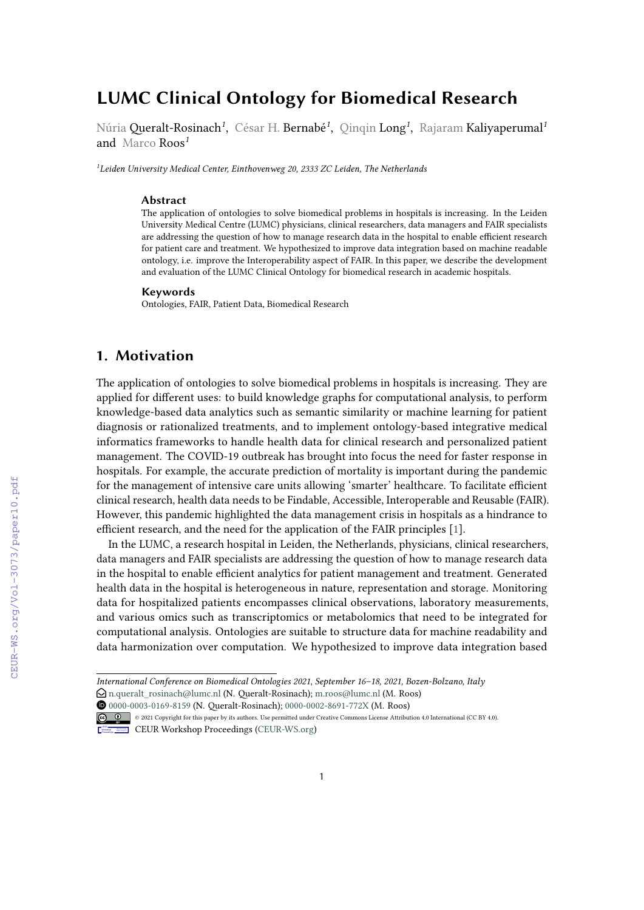# **LUMC Clinical Ontology for Biomedical Research**

Núria Queralt-Rosinach*<sup>1</sup>* , César H. Bernabé*<sup>1</sup>* , Qinqin Long*<sup>1</sup>* , Rajaram Kaliyaperumal*<sup>1</sup>* and Marco Roos*<sup>1</sup>*

*<sup>1</sup>Leiden University Medical Center, Einthovenweg 20, 2333 ZC Leiden, The Netherlands*

#### **Abstract**

The application of ontologies to solve biomedical problems in hospitals is increasing. In the Leiden University Medical Centre (LUMC) physicians, clinical researchers, data managers and FAIR specialists are addressing the question of how to manage research data in the hospital to enable efficient research for patient care and treatment. We hypothesized to improve data integration based on machine readable ontology, i.e. improve the Interoperability aspect of FAIR. In this paper, we describe the development and evaluation of the LUMC Clinical Ontology for biomedical research in academic hospitals.

#### **Keywords**

Ontologies, FAIR, Patient Data, Biomedical Research

### **1. Motivation**

The application of ontologies to solve biomedical problems in hospitals is increasing. They are applied for different uses: to build knowledge graphs for computational analysis, to perform knowledge-based data analytics such as semantic similarity or machine learning for patient diagnosis or rationalized treatments, and to implement ontology-based integrative medical informatics frameworks to handle health data for clinical research and personalized patient management. The COVID-19 outbreak has brought into focus the need for faster response in hospitals. For example, the accurate prediction of mortality is important during the pandemic for the management of intensive care units allowing 'smarter' healthcare. To facilitate efficient clinical research, health data needs to be Findable, Accessible, Interoperable and Reusable (FAIR). However, this pandemic highlighted the data management crisis in hospitals as a hindrance to efficient research, and the need for the application of the FAIR principles [\[1\]](#page--1-0).

In the LUMC, a research hospital in Leiden, the Netherlands, physicians, clinical researchers, data managers and FAIR specialists are addressing the question of how to manage research data in the hospital to enable efficient analytics for patient management and treatment. Generated health data in the hospital is heterogeneous in nature, representation and storage. Monitoring data for hospitalized patients encompasses clinical observations, laboratory measurements, and various omics such as transcriptomics or metabolomics that need to be integrated for computational analysis. Ontologies are suitable to structure data for machine readability and data harmonization over computation. We hypothesized to improve data integration based

Orcid [0000-0003-0169-8159](https://orcid.org/0000-0003-0169-8159) (N. Queralt-Rosinach); [0000-0002-8691-772X](https://orcid.org/0000-0002-8691-772X) (M. Roos) © 2021 Copyright for this paper by its authors. Use permitted under Creative Commons License Attribution 4.0 International (CC BY 4.0).



CEUR Workshop [Proceedings](http://ceur-ws.org) [\(CEUR-WS.org\)](http://ceur-ws.org)

*International Conference on Biomedical Ontologies 2021, September 16–18, 2021, Bozen-Bolzano, Italy*

 $\bigcirc$ [n.queralt\\_rosinach@lumc.nl](mailto:n.queralt\protect \TU _rosinach@lumc.nl) (N. Queralt-Rosinach); [m.roos@lumc.nl](mailto:m.roos@lumc.nl) (M. Roos)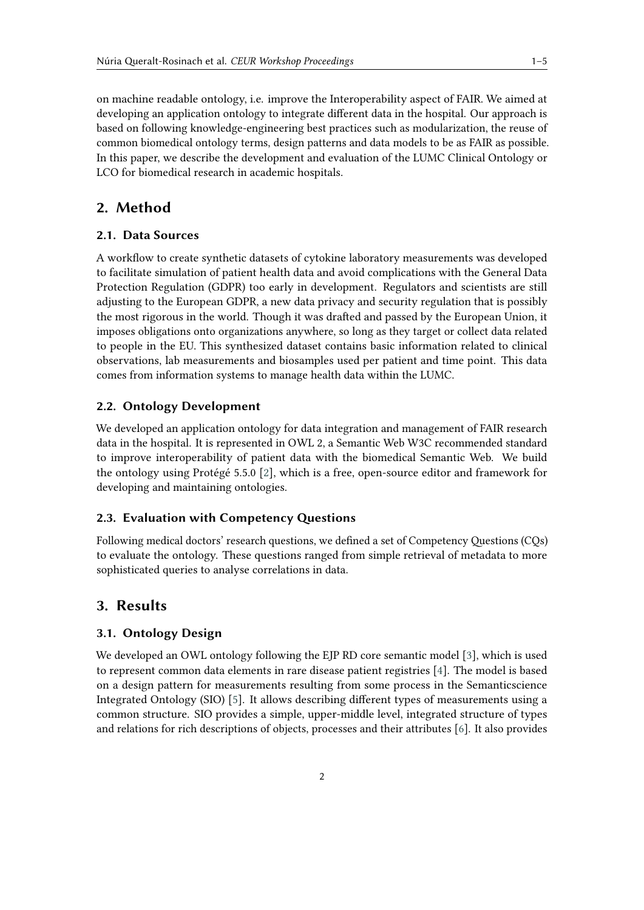on machine readable ontology, i.e. improve the Interoperability aspect of FAIR. We aimed at developing an application ontology to integrate different data in the hospital. Our approach is based on following knowledge-engineering best practices such as modularization, the reuse of common biomedical ontology terms, design patterns and data models to be as FAIR as possible. In this paper, we describe the development and evaluation of the LUMC Clinical Ontology or LCO for biomedical research in academic hospitals.

# **2. Method**

#### **2.1. Data Sources**

A workflow to create synthetic datasets of cytokine laboratory measurements was developed to facilitate simulation of patient health data and avoid complications with the General Data Protection Regulation (GDPR) too early in development. Regulators and scientists are still adjusting to the European GDPR, a new data privacy and security regulation that is possibly the most rigorous in the world. Though it was drafted and passed by the European Union, it imposes obligations onto organizations anywhere, so long as they target or collect data related to people in the EU. This synthesized dataset contains basic information related to clinical observations, lab measurements and biosamples used per patient and time point. This data comes from information systems to manage health data within the LUMC.

### **2.2. Ontology Development**

We developed an application ontology for data integration and management of FAIR research data in the hospital. It is represented in OWL 2, a Semantic Web W3C recommended standard to improve interoperability of patient data with the biomedical Semantic Web. We build the ontology using Protégé 5.5.0 [\[2\]](#page-3-0), which is a free, open-source editor and framework for developing and maintaining ontologies.

#### **2.3. Evaluation with Competency Questions**

Following medical doctors' research questions, we defined a set of Competency Questions (CQs) to evaluate the ontology. These questions ranged from simple retrieval of metadata to more sophisticated queries to analyse correlations in data.

### **3. Results**

#### **3.1. Ontology Design**

We developed an OWL ontology following the EJP RD core semantic model [\[3\]](#page-3-1), which is used to represent common data elements in rare disease patient registries [\[4\]](#page-4-0). The model is based on a design pattern for measurements resulting from some process in the Semanticscience Integrated Ontology (SIO) [\[5\]](#page-4-1). It allows describing different types of measurements using a common structure. SIO provides a simple, upper-middle level, integrated structure of types and relations for rich descriptions of objects, processes and their attributes [\[6\]](#page-4-2). It also provides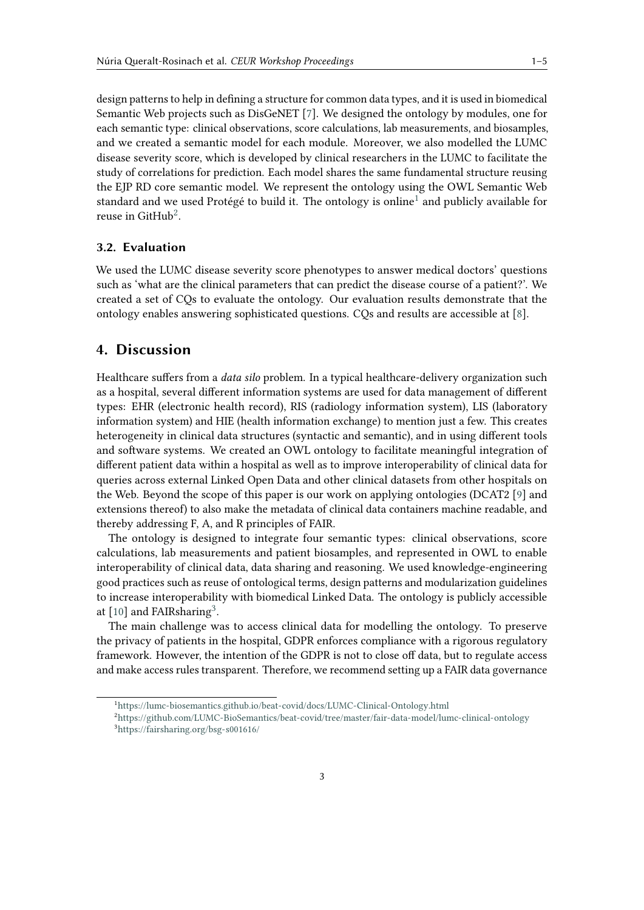design patterns to help in defining a structure for common data types, and it is used in biomedical Semantic Web projects such as DisGeNET [\[7\]](#page-4-3). We designed the ontology by modules, one for each semantic type: clinical observations, score calculations, lab measurements, and biosamples, and we created a semantic model for each module. Moreover, we also modelled the LUMC disease severity score, which is developed by clinical researchers in the LUMC to facilitate the study of correlations for prediction. Each model shares the same fundamental structure reusing the EJP RD core semantic model. We represent the ontology using the OWL Semantic Web standard and we used Protégé to build it. The ontology is online<sup>[1](#page-2-0)</sup> and publicly available for reuse in Git $\mathrm{Hub}^2$  $\mathrm{Hub}^2$ .

### **3.2. Evaluation**

We used the LUMC disease severity score phenotypes to answer medical doctors' questions such as 'what are the clinical parameters that can predict the disease course of a patient?'. We created a set of CQs to evaluate the ontology. Our evaluation results demonstrate that the ontology enables answering sophisticated questions. CQs and results are accessible at [\[8\]](#page-4-4).

### **4. Discussion**

Healthcare suffers from a *data silo* problem. In a typical healthcare-delivery organization such as a hospital, several different information systems are used for data management of different types: EHR (electronic health record), RIS (radiology information system), LIS (laboratory information system) and HIE (health information exchange) to mention just a few. This creates heterogeneity in clinical data structures (syntactic and semantic), and in using different tools and software systems. We created an OWL ontology to facilitate meaningful integration of different patient data within a hospital as well as to improve interoperability of clinical data for queries across external Linked Open Data and other clinical datasets from other hospitals on the Web. Beyond the scope of this paper is our work on applying ontologies (DCAT2 [\[9\]](#page-4-5) and extensions thereof) to also make the metadata of clinical data containers machine readable, and thereby addressing F, A, and R principles of FAIR.

The ontology is designed to integrate four semantic types: clinical observations, score calculations, lab measurements and patient biosamples, and represented in OWL to enable interoperability of clinical data, data sharing and reasoning. We used knowledge-engineering good practices such as reuse of ontological terms, design patterns and modularization guidelines to increase interoperability with biomedical Linked Data. The ontology is publicly accessible at [\[10\]](#page-4-6) and FAIRsharing<sup>[3](#page-2-2)</sup>.

The main challenge was to access clinical data for modelling the ontology. To preserve the privacy of patients in the hospital, GDPR enforces compliance with a rigorous regulatory framework. However, the intention of the GDPR is not to close off data, but to regulate access and make access rules transparent. Therefore, we recommend setting up a FAIR data governance

<span id="page-2-0"></span><sup>1</sup><https://lumc-biosemantics.github.io/beat-covid/docs/LUMC-Clinical-Ontology.html>

<span id="page-2-2"></span><span id="page-2-1"></span><sup>2</sup><https://github.com/LUMC-BioSemantics/beat-covid/tree/master/fair-data-model/lumc-clinical-ontology> <sup>3</sup><https://fairsharing.org/bsg-s001616/>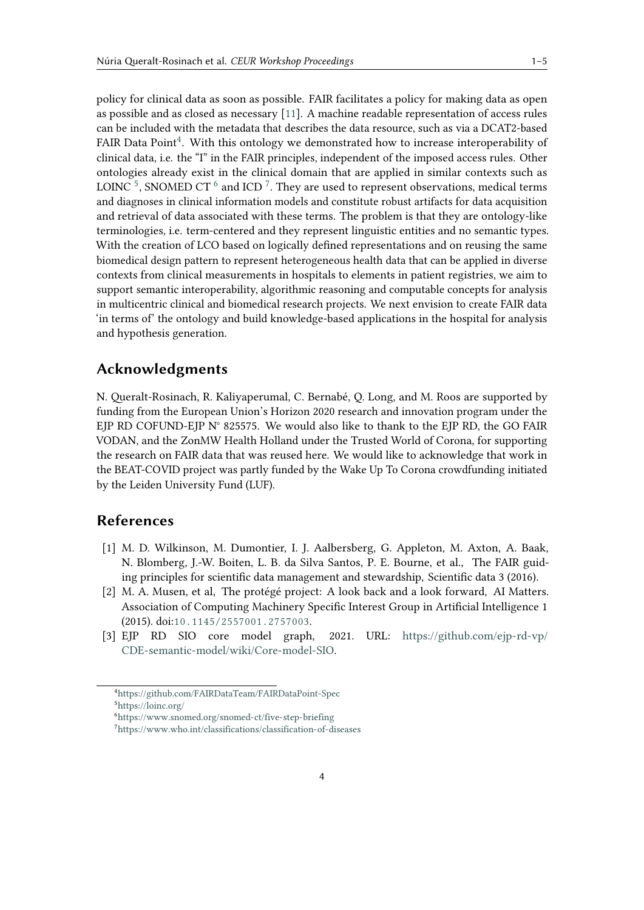policy for clinical data as soon as possible. FAIR facilitates a policy for making data as open as possible and as closed as necessary [\[11\]](#page-4-7). A machine readable representation of access rules can be included with the metadata that describes the data resource, such as via a DCAT2-based FAIR Data Point<sup>[4](#page-3-2)</sup>. With this ontology we demonstrated how to increase interoperability of clinical data, i.e. the "I" in the FAIR principles, independent of the imposed access rules. Other ontologies already exist in the clinical domain that are applied in similar contexts such as LOINC  $^5$  $^5$ , SNOMED CT  $^6$  $^6$  and ICD  $^7$  $^7$ . They are used to represent observations, medical terms and diagnoses in clinical information models and constitute robust artifacts for data acquisition and retrieval of data associated with these terms. The problem is that they are ontology-like terminologies, i.e. term-centered and they represent linguistic entities and no semantic types. With the creation of LCO based on logically defined representations and on reusing the same biomedical design pattern to represent heterogeneous health data that can be applied in diverse contexts from clinical measurements in hospitals to elements in patient registries, we aim to support semantic interoperability, algorithmic reasoning and computable concepts for analysis in multicentric clinical and biomedical research projects. We next envision to create FAIR data 'in terms of' the ontology and build knowledge-based applications in the hospital for analysis and hypothesis generation.

# **Acknowledgments**

N. Queralt-Rosinach, R. Kaliyaperumal, C. Bernabé, Q. Long, and M. Roos are supported by funding from the European Union's Horizon 2020 research and innovation program under the EJP RD COFUND-EJP N° 825575. We would also like to thank to the EJP RD, the GO FAIR VODAN, and the ZonMW Health Holland under the Trusted World of Corona, for supporting the research on FAIR data that was reused here. We would like to acknowledge that work in the BEAT-COVID project was partly funded by the Wake Up To Corona crowdfunding initiated by the Leiden University Fund (LUF).

### **References**

- [1] M. D. Wilkinson, M. Dumontier, I. J. Aalbersberg, G. Appleton, M. Axton, A. Baak, N. Blomberg, J.-W. Boiten, L. B. da Silva Santos, P. E. Bourne, et al., The FAIR guiding principles for scientific data management and stewardship, Scientific data 3 (2016).
- <span id="page-3-0"></span>[2] M. A. Musen, et al, The protégé project: A look back and a look forward, AI Matters. Association of Computing Machinery Specific Interest Group in Artificial Intelligence 1 (2015). doi:[10.1145/2557001.2757003](http://dx.doi.org/10.1145/2557001.2757003).
- <span id="page-3-1"></span>[3] EJP RD SIO core model graph, 2021. URL: [https://github.com/ejp-rd-vp/](https://github.com/ejp-rd-vp/CDE-semantic-model/wiki/Core-model-SIO) [CDE-semantic-model/wiki/Core-model-SIO.](https://github.com/ejp-rd-vp/CDE-semantic-model/wiki/Core-model-SIO)

<span id="page-3-3"></span><span id="page-3-2"></span><sup>4</sup><https://github.com/FAIRDataTeam/FAIRDataPoint-Spec> <sup>5</sup><https://loinc.org/>

<span id="page-3-4"></span><sup>6</sup><https://www.snomed.org/snomed-ct/five-step-briefing>

<span id="page-3-5"></span><sup>7</sup><https://www.who.int/classifications/classification-of-diseases>